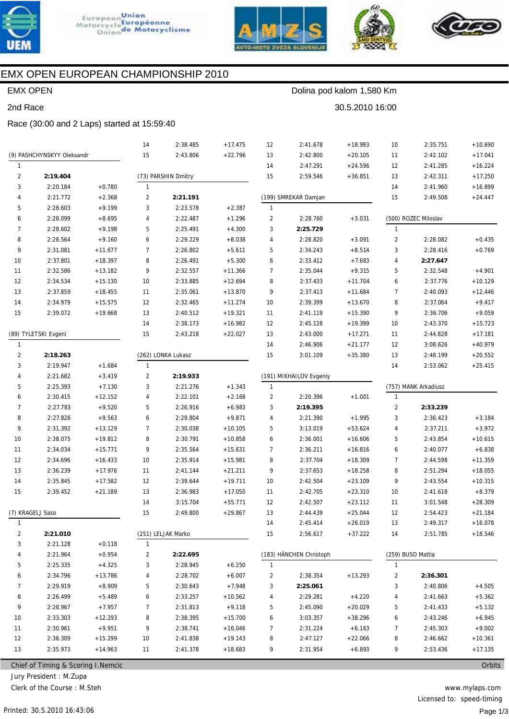





30.5.2010 16:00

Dolina pod kalom 1,580 Km



# EMX OPEN EUROPEAN CHAMPIONSHIP 2010

### **EMX OPEN**

#### 2nd Race

#### Race (30:00 and 2 Laps) started at 15:59:40

|                |                                     |           | 14             | 2:38.485            | $+17.475$ | 12             | 2:41.678                | $+18.983$ | 10             | 2:35.751             | $+10.690$ |
|----------------|-------------------------------------|-----------|----------------|---------------------|-----------|----------------|-------------------------|-----------|----------------|----------------------|-----------|
|                | (9) PASHCHYNSKYY Oleksandr          |           | 15             | 2:43.806            | $+22.796$ | 13             | 2:42.800                | $+20.105$ | 11             | 2:42.102             | $+17.041$ |
| $\mathbf{1}$   |                                     |           |                |                     |           | 14             | 2:47.291                | $+24.596$ | 12             | 2:41.285             | $+16.224$ |
| $\overline{2}$ | 2:19.404                            |           |                | (73) PARSHIN Dmitry |           | 15             | 2:59.546                | $+36.851$ | 13             | 2:42.311             | $+17.250$ |
| 3              | 2:20.184                            | $+0.780$  | 1              |                     |           |                |                         |           | 14             | 2:41.960             | $+16.899$ |
| 4              | 2:21.772                            | $+2.368$  | $\overline{2}$ | 2:21.191            |           |                | (199) SMREKAR Damjan    |           | 15             | 2:49.508             | $+24.447$ |
| 5              | 2:28.603                            | $+9.199$  | 3              | 2:23.578            | $+2.387$  | $\mathbf{1}$   |                         |           |                |                      |           |
| 6              | 2:28.099                            | $+8.695$  | 4              | 2:22.487            | $+1.296$  | 2              | 2:28.760                | $+3.031$  |                | (500) ROZEC Miloslav |           |
| 7              | 2:28.602                            | $+9.198$  | 5              | 2:25.491            | $+4.300$  | 3              | 2:25.729                |           | $\mathbf{1}$   |                      |           |
| 8              | 2:28.564                            | $+9.160$  | 6              | 2:29.229            | $+8.038$  | 4              | 2:28.820                | $+3.091$  | 2              | 2:28.082             | $+0.435$  |
| 9              | 2:31.081                            | $+11.677$ | $\overline{7}$ | 2:26.802            | $+5.611$  | 5              | 2:34.243                | $+8.514$  | 3              | 2:28.416             | $+0.769$  |
| 10             | 2:37.801                            | $+18.397$ | 8              | 2:26.491            | $+5.300$  | 6              | 2:33.412                | $+7.683$  | 4              | 2:27.647             |           |
| 11             | 2:32.586                            | $+13.182$ | 9              | 2:32.557            | $+11.366$ | $\overline{7}$ | 2:35.044                | $+9.315$  | 5              | 2:32.548             | $+4.901$  |
| 12             | 2:34.534                            | $+15.130$ | 10             | 2:33.885            | $+12.694$ | 8              | 2:37.433                | $+11.704$ | 6              | 2:37.776             | $+10.129$ |
| 13             | 2:37.859                            | $+18.455$ | 11             | 2:35.061            | $+13.870$ | 9              | 2:37.413                | $+11.684$ | 7              | 2:40.093             | $+12.446$ |
| 14             | 2:34.979                            | $+15.575$ | 12             | 2:32.465            | $+11.274$ | 10             | 2:39.399                | $+13.670$ | 8              | 2:37.064             | $+9.417$  |
| 15             | 2:39.072                            | $+19.668$ | 13             | 2:40.512            | $+19.321$ | 11             | 2:41.119                | $+15.390$ | 9              | 2:36.706             | $+9.059$  |
|                |                                     |           | 14             | 2:38.173            | $+16.982$ | 12             | 2:45.128                | $+19.399$ | 10             | 2:43.370             | $+15.723$ |
|                | (89) TYLETSKI Evgeni                |           | 15             | 2:43.218            | $+22.027$ | 13             | 2:43.000                | $+17.271$ | 11             | 2:44.828             | $+17.181$ |
| $\mathbf{1}$   |                                     |           |                |                     |           | 14             | 2:46.906                | $+21.177$ | 12             | 3:08.626             | $+40.979$ |
| 2              | 2:18.263                            |           |                | (262) LONKA Lukasz  |           | 15             | 3:01.109                | $+35.380$ | 13             | 2:48.199             | $+20.552$ |
| 3              | 2:19.947                            | $+1.684$  | 1              |                     |           |                |                         |           | 14             | 2:53.062             | $+25.415$ |
| 4              | 2:21.682                            | $+3.419$  | $\overline{2}$ | 2:19.933            |           |                | (191) MIKHAILOV Evgeniy |           |                |                      |           |
| 5              | 2:25.393                            | $+7.130$  | 3              | 2:21.276            | $+1.343$  | $\mathbf{1}$   |                         |           |                | (757) MANK Arkadiusz |           |
| 6              | 2:30.415                            | $+12.152$ | 4              | 2:22.101            | $+2.168$  | 2              | 2:20.396                | $+1.001$  | $\mathbf{1}$   |                      |           |
| $\overline{7}$ | 2:27.783                            | $+9.520$  | 5              | 2:26.916            | $+6.983$  | 3              | 2:19.395                |           | $\overline{2}$ | 2:33.239             |           |
| 8              | 2:27.826                            | $+9.563$  | 6              | 2:29.804            | $+9.871$  | 4              | 2:21.390                | $+1.995$  | 3              | 2:36.423             | $+3.184$  |
| 9              | 2:31.392                            | $+13.129$ | $\overline{7}$ | 2:30.038            | $+10.105$ | 5              | 3:13.019                | $+53.624$ | 4              | 2:37.211             | $+3.972$  |
| 10             | 2:38.075                            | $+19.812$ | 8              | 2:30.791            | $+10.858$ | 6              | 2:36.001                | $+16.606$ | 5              | 2:43.854             | $+10.615$ |
| 11             | 2:34.034                            | $+15.771$ | 9              | 2:35.564            | $+15.631$ | 7              | 2:36.211                | $+16.816$ | 6              | 2:40.077             | $+6.838$  |
| 12             | 2:34.696                            | $+16.433$ | 10             | 2:35.914            | $+15.981$ | 8              | 2:37.704                | $+18.309$ | $\overline{7}$ | 2:44.598             | $+11.359$ |
| 13             | 2:36.239                            | $+17.976$ | 11             | 2:41.144            | $+21.211$ | 9              | 2:37.653                | $+18.258$ | 8              | 2:51.294             | $+18.055$ |
| 14             | 2:35.845                            | $+17.582$ | 12             | 2:39.644            | $+19.711$ | 10             | 2:42.504                | $+23.109$ | 9              | 2:43.554             | $+10.315$ |
| 15             | 2:39.452                            | $+21.189$ | 13             | 2:36.983            | $+17.050$ | 11             | 2:42.705                | $+23.310$ | 10             | 2:41.618             | $+8.379$  |
|                |                                     |           | 14             | 3:15.704            | $+55.771$ | 12             | 2:42.507                | $+23.112$ | 11             | 3:01.548             | $+28.309$ |
|                | (7) KRAGELJ Saso                    |           | 15             | 2:49.800            | $+29.867$ | 13             | 2:44.439                | $+25.044$ | 12             | 2:54.423             | $+21.184$ |
| 1              |                                     |           |                |                     |           | 14             | 2:45.414                | $+26.019$ | 13             | 2:49.317             | $+16.078$ |
| 2              | 2:21.010                            |           |                | (251) LELJAK Marko  |           | 15             | 2:56.617                | $+37.222$ | 14             | 2:51.785             | $+18.546$ |
| 3              | 2:21.128                            | $+0.118$  | 1              |                     |           |                |                         |           |                |                      |           |
| 4              | 2:21.964                            | $+0.954$  | 2              | 2:22.695            |           |                | (183) HÄNCHEN Christoph |           |                | (259) BUSO Mattia    |           |
| 5              | 2:25.335                            | $+4.325$  | 3              | 2:28.945            | $+6.250$  | $\mathbf{1}$   |                         |           | $\mathbf{1}$   |                      |           |
| 6              | 2:34.796                            | $+13.786$ | 4              | 2:28.702            | $+6.007$  | 2              | 2:38.354                | $+13.293$ | 2              | 2:36.301             |           |
| 7              | 2:29.919                            | $+8.909$  | 5              | 2:30.643            | $+7.948$  | 3              | 2:25.061                |           | 3              | 2:40.806             | $+4.505$  |
| 8              | 2:26.499                            | $+5.489$  | 6              | 2:33.257            | $+10.562$ | 4              | 2:29.281                | $+4.220$  | 4              | 2:41.663             | $+5.362$  |
| 9              | 2:28.967                            | $+7.957$  | 7              | 2:31.813            | $+9.118$  | 5              | 2:45.090                | $+20.029$ | 5              | 2:41.433             | $+5.132$  |
| 10             | 2:33.303                            | $+12.293$ | 8              | 2:38.395            | $+15.700$ | 6              | 3:03.357                | $+38.296$ | 6              | 2:43.246             | $+6.945$  |
| 11             | 2:30.961                            | $+9.951$  | 9              | 2:38.741            | $+16.046$ | 7              | 2:31.224                | $+6.163$  | 7              | 2:45.303             | $+9.002$  |
| 12             | 2:36.309                            | $+15.299$ | 10             | 2:41.838            | $+19.143$ | 8              | 2:47.127                | $+22.066$ | 8              | 2:46.662             | $+10.361$ |
| 13             | 2:35.973                            | $+14.963$ | 11             | 2:41.378            | $+18.683$ | 9              | 2:31.954                | $+6.893$  | 9              | 2:53.436             | $+17.135$ |
|                | Chief of Timing & Scoring I. Nemcic |           |                |                     |           |                |                         |           |                |                      | Orbits    |

Chief of Timing & Scoring I.Nemcic

Jury President : M.Zupa

Clerk of the Course: M.Steh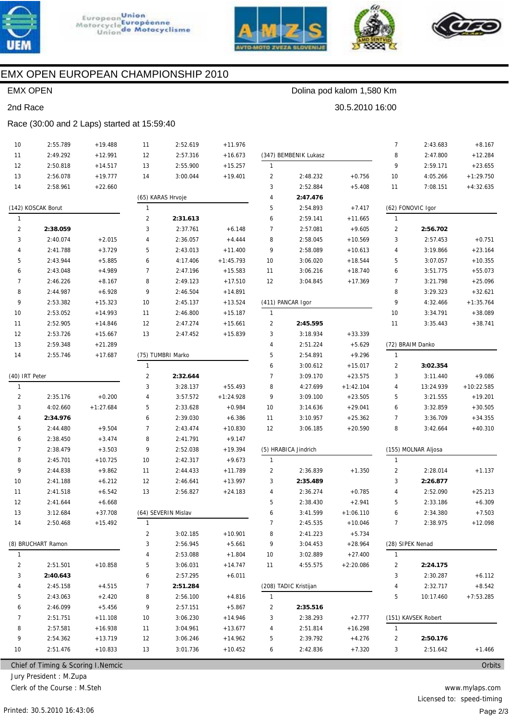







# EMX OPEN EUROPEAN CHAMPIONSHIP 2010

### EMX OPEN

2nd Race

## Dolina pod kalom 1,580 Km

30.5.2010 16:00

#### Race (30:00 and 2 Laps) started at 15:59:40

| 10             | 2:55.789           | $+19.488$   | 11             | 2:52.619            | $+11.976$   |                |                       |             | 7              | 2:43.683            | $+8.167$     |
|----------------|--------------------|-------------|----------------|---------------------|-------------|----------------|-----------------------|-------------|----------------|---------------------|--------------|
| 11             | 2:49.292           | $+12.991$   | 12             | 2:57.316            | $+16.673$   |                | (347) BEMBENIK Lukasz |             | 8              | 2:47.800            | $+12.284$    |
| 12             | 2:50.818           | $+14.517$   | 13             | 2:55.900            | $+15.257$   | $\mathbf{1}$   |                       |             | 9              | 2:59.171            | $+23.655$    |
| 13             | 2:56.078           | $+19.777$   | 14             | 3:00.044            | $+19.401$   | $\overline{c}$ | 2:48.232              | $+0.756$    | 10             | 4:05.266            | $+1:29.750$  |
| 14             | 2:58.961           | $+22.660$   |                |                     |             | 3              | 2:52.884              | $+5.408$    | 11             | 7:08.151            | $+4:32.635$  |
|                |                    |             |                | (65) KARAS Hrvoje   |             | 4              | 2:47.476              |             |                |                     |              |
|                | (142) KOSCAK Borut |             | 1              |                     |             | 5              | 2:54.893              | $+7.417$    |                | (62) FONOVIC Igor   |              |
| 1              |                    |             | $\overline{2}$ | 2:31.613            |             | 6              | 2:59.141              | $+11.665$   | 1              |                     |              |
| 2              | 2:38.059           |             | 3              | 2:37.761            | $+6.148$    | 7              | 2:57.081              | $+9.605$    | $\overline{2}$ | 2:56.702            |              |
| 3              | 2:40.074           | $+2.015$    | 4              | 2:36.057            | $+4.444$    | 8              | 2:58.045              | $+10.569$   | 3              | 2:57.453            | $+0.751$     |
| $\overline{4}$ | 2:41.788           | $+3.729$    | 5              | 2:43.013            | $+11.400$   | 9              | 2:58.089              | $+10.613$   | $\overline{4}$ | 3:19.866            | $+23.164$    |
| 5              | 2:43.944           | $+5.885$    | 6              | 4:17.406            | $+1:45.793$ | 10             | 3:06.020              | $+18.544$   | 5              | 3:07.057            | $+10.355$    |
| 6              | 2:43.048           | $+4.989$    | $\overline{7}$ | 2:47.196            | $+15.583$   | 11             | 3:06.216              | $+18.740$   | 6              | 3:51.775            | $+55.073$    |
| 7              | 2:46.226           | $+8.167$    | 8              | 2:49.123            | $+17.510$   | 12             | 3:04.845              | $+17.369$   | 7              | 3:21.798            | $+25.096$    |
| 8              | 2:44.987           | $+6.928$    | 9              | 2:46.504            | $+14.891$   |                |                       |             | 8              | 3:29.323            | $+32.621$    |
| 9              | 2:53.382           | $+15.323$   | 10             | 2:45.137            | $+13.524$   |                | (411) PANCAR Igor     |             | 9              | 4:32.466            | $+1:35.764$  |
| 10             | 2:53.052           | $+14.993$   | 11             | 2:46.800            | $+15.187$   | $\mathbf{1}$   |                       |             | 10             | 3:34.791            | $+38.089$    |
| 11             | 2:52.905           | $+14.846$   | 12             | 2:47.274            | $+15.661$   | 2              | 2:45.595              |             | 11             | 3:35.443            | $+38.741$    |
| 12             | 2:53.726           | $+15.667$   | 13             | 2:47.452            | $+15.839$   | 3              | 3:18.934              | $+33.339$   |                |                     |              |
| 13             | 2:59.348           | $+21.289$   |                |                     |             | 4              | 2:51.224              | $+5.629$    |                | (72) BRAIM Danko    |              |
| 14             | 2:55.746           | $+17.687$   |                | (75) TUMBRI Marko   |             | 5              | 2:54.891              | $+9.296$    | $\mathbf{1}$   |                     |              |
|                |                    |             | $\mathbf{1}$   |                     |             | 6              | 3:00.612              | $+15.017$   | $\overline{2}$ | 3:02.354            |              |
| (40) IRT Peter |                    |             | $\overline{2}$ | 2:32.644            |             | 7              | 3:09.170              | $+23.575$   | 3              | 3:11.440            | $+9.086$     |
| 1              |                    |             | 3              | 3:28.137            | $+55.493$   | 8              | 4:27.699              | $+1:42.104$ | $\overline{4}$ | 13:24.939           | $+10:22.585$ |
| 2              | 2:35.176           | $+0.200$    | 4              | 3:57.572            | $+1:24.928$ | 9              | 3:09.100              | $+23.505$   | 5              | 3:21.555            | $+19.201$    |
| 3              | 4:02.660           | $+1:27.684$ | 5              | 2:33.628            | $+0.984$    | 10             | 3:14.636              | $+29.041$   | 6              | 3:32.859            | $+30.505$    |
| 4              | 2:34.976           |             | 6              | 2:39.030            | $+6.386$    | 11             | 3:10.957              | $+25.362$   | 7              | 3:36.709            | $+34.355$    |
| 5              | 2:44.480           | $+9.504$    | $\overline{7}$ | 2:43.474            | $+10.830$   | 12             | 3:06.185              | $+20.590$   | 8              | 3:42.664            | $+40.310$    |
| 6              | 2:38.450           | $+3.474$    | 8              | 2:41.791            | $+9.147$    |                |                       |             |                |                     |              |
| $\overline{7}$ | 2:38.479           | $+3.503$    | 9              | 2:52.038            | $+19.394$   |                | (5) HRABICA Jindrich  |             |                | (155) MOLNAR Aljosa |              |
| 8              | 2:45.701           | $+10.725$   | 10             | 2:42.317            | $+9.673$    | $\mathbf{1}$   |                       |             | 1              |                     |              |
| 9              | 2:44.838           | $+9.862$    | 11             | 2:44.433            | $+11.789$   | 2              | 2:36.839              | $+1.350$    | $\overline{2}$ | 2:28.014            | $+1.137$     |
| 10             | 2:41.188           | $+6.212$    | 12             | 2:46.641            | $+13.997$   | 3              | 2:35.489              |             | 3              | 2:26.877            |              |
| 11             | 2:41.518           | $+6.542$    | 13             | 2:56.827            | $+24.183$   | 4              | 2:36.274              | $+0.785$    | 4              | 2:52.090            | $+25.213$    |
| 12             | 2:41.644           | $+6.668$    |                |                     |             | 5              | 2:38.430              | $+2.941$    | 5              | 2:33.186            | $+6.309$     |
| 13             | 3:12.684           | $+37.708$   |                | (64) SEVERIN Mislav |             | 6              | 3:41.599              | $+1:06.110$ | 6              | 2:34.380            | $+7.503$     |
| 14             | 2:50.468           | $+15.492$   |                |                     |             | 7              | 2:45.535              | $+10.046$   | 7              | 2:38.975            | $+12.098$    |
|                |                    |             | 2              | 3:02.185            | $+10.901$   | 8              | 2:41.223              | $+5.734$    |                |                     |              |
|                | (8) BRUCHART Ramon |             | 3              | 2:56.945            | $+5.661$    | 9              | 3:04.453              | $+28.964$   |                | (28) SIPEK Nenad    |              |
| $\mathbf{1}$   |                    |             | 4              | 2:53.088            | $+1.804$    | 10             | 3:02.889              | $+27.400$   | $\mathbf{1}$   |                     |              |
| 2              | 2:51.501           | $+10.858$   | 5              | 3:06.031            | $+14.747$   | 11             | 4:55.575              | $+2:20.086$ | $\overline{a}$ | 2:24.175            |              |
| 3              | 2:40.643           |             | 6              | 2:57.295            | $+6.011$    |                |                       |             | 3              | 2:30.287            | $+6.112$     |
|                |                    |             |                |                     |             |                | (208) TADIC Kristijan |             |                |                     |              |
| 4              | 2:45.158           | $+4.515$    | 7              | 2:51.284            |             |                |                       |             | 4              | 2:32.717            | $+8.542$     |
| 5              | 2:43.063           | $+2.420$    | 8              | 2:56.100            | $+4.816$    | 1              |                       |             | 5              | 10:17.460           | $+7:53.285$  |
| 6              | 2:46.099           | $+5.456$    | 9              | 2:57.151            | $+5.867$    | 2              | 2:35.516              |             |                |                     |              |
| 7              | 2:51.751           | $+11.108$   | 10             | 3:06.230            | $+14.946$   | 3              | 2:38.293              | $+2.777$    |                | (151) KAVSEK Robert |              |
| 8              | 2:57.581           | $+16.938$   | 11             | 3:04.961            | $+13.677$   | 4              | 2:51.814              | $+16.298$   | 1              |                     |              |
| 9              | 2:54.362           | $+13.719$   | 12             | 3:06.246            | $+14.962$   | 5              | 2:39.792              | $+4.276$    | $\overline{2}$ | 2:50.176            |              |
| 10             | 2:51.476           | $+10.833$   | 13             | 3:01.736            | $+10.452$   | 6              | 2:42.836              | $+7.320$    | 3              | 2:51.642            | $+1.466$     |

Chief of Timing & Scoring I.Nemcic

Jury President : M.Zupa

Clerk of the Course : M.Steh

**Orbits**